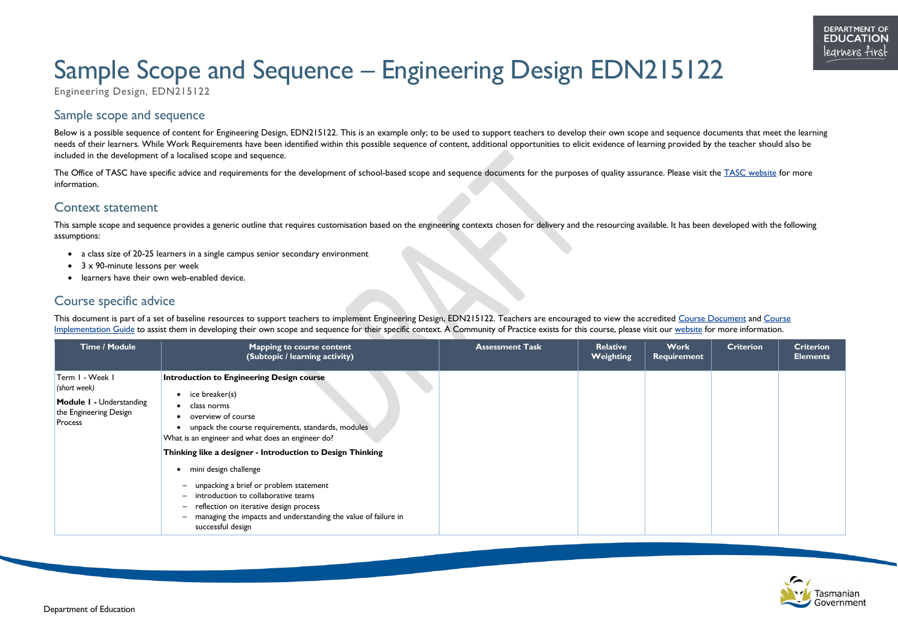



# Sample Scope and Sequence – Engineering Design EDN215122

Engineering Design, EDN215122

# Sample scope and sequence

Below is a possible sequence of content for Engineering Design, EDN215122. This is an example only; to be used to support teachers to develop their own scope and sequence documents that meet the learning needs of their learners. While Work Requirements have been identified within this possible sequence of content, additional opportunities to elicit evidence of learning provided by the teacher should also be included in the development of a localised scope and sequence.

The Office of TASC have specific advice and requirements for the development of school-based scope and sequence documents for the purposes of quality assurance. Please visit the [TASC website](http://www.tasc.tas.gov.au/) for more information.

This sample scope and sequence provides a generic outline that requires customisation based on the engineering contexts chosen for delivery and the resourcing available. It has been developed with the following assumptions:

### Context statement

- a class size of 20-25 learners in a single campus senior secondary environment
- 3 x 90-minute lessons per week
- learners have their own web-enabled device.

## Course specific advice

This document is part of a set of baseline resources to support teachers to implement Engineering Design, EDN215122. Teachers are encouraged to view the accredited [Course Document](https://www.tasc.tas.gov.au/students/courses/technologies/edn215122/) and Course [Implementation Guide](https://documentcentre.education.tas.gov.au/_layouts/15/DocIdRedir.aspx?ID=TASED-1409172972-1881) to assist them in developing their own scope and sequence for their specific context. A Community of Practice exists for this course, please visit our [website](https://11and12.education.tas.gov.au/communities-of-practice/) for more information.

| <b>Time / Module</b>                                                                                    | <b>Mapping to course content</b><br>(Subtopic / learning activity)                                                                                                                                                                                                                   | <b>Assessment Task</b> | Relative<br><b>Weighting</b> | <b>Work</b><br><b>Requirement</b> | <b>Criterion</b> | <b>Criterion</b><br><b>Elements</b> |
|---------------------------------------------------------------------------------------------------------|--------------------------------------------------------------------------------------------------------------------------------------------------------------------------------------------------------------------------------------------------------------------------------------|------------------------|------------------------------|-----------------------------------|------------------|-------------------------------------|
| Term I - Week I<br>(short week)<br><b>Module I - Understanding</b><br>the Engineering Design<br>Process | <b>Introduction to Engineering Design course</b><br>ice breaker(s)<br>class norms<br>overview of course<br>unpack the course requirements, standards, modules<br>What is an engineer and what does an engineer do?<br>Thinking like a designer - Introduction to Design Thinking     |                        |                              |                                   |                  |                                     |
|                                                                                                         | mini design challenge<br>unpacking a brief or problem statement<br>$\qquad \qquad$<br>introduction to collaborative teams<br>$-$<br>reflection on iterative design process<br>$\qquad \qquad$<br>managing the impacts and understanding the value of failure in<br>successful design |                        |                              |                                   |                  |                                     |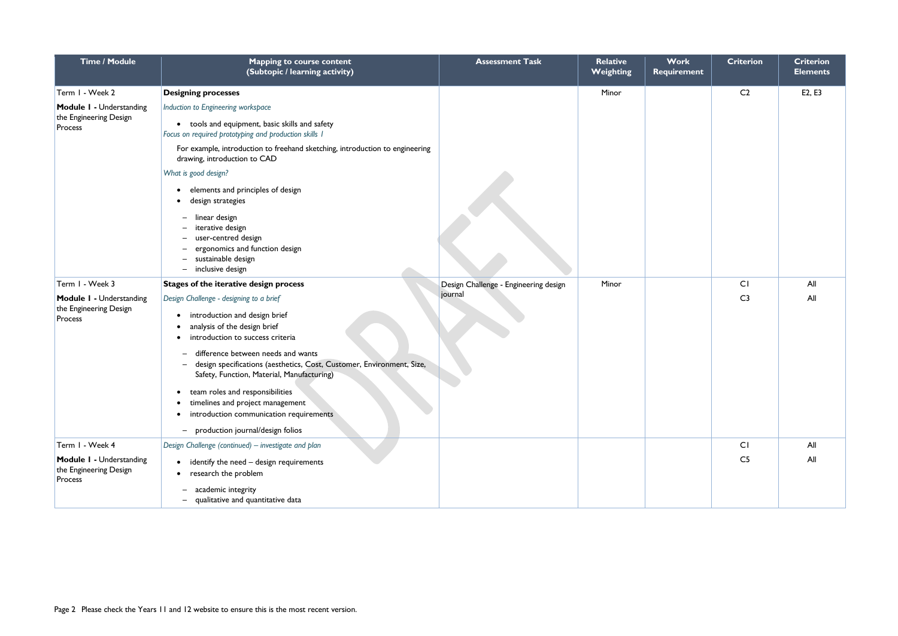| <b>Time / Module</b>                                                                    | <b>Mapping to course content</b><br>(Subtopic / learning activity)                                                                                                                                                                                                                                                                                                                                                                                                                               | <b>Assessment Task</b>                           | <b>Relative</b><br>Weighting | <b>Work</b><br><b>Requirement</b> | <b>Criterion</b>     | <b>Criterion</b><br><b>Elements</b> |
|-----------------------------------------------------------------------------------------|--------------------------------------------------------------------------------------------------------------------------------------------------------------------------------------------------------------------------------------------------------------------------------------------------------------------------------------------------------------------------------------------------------------------------------------------------------------------------------------------------|--------------------------------------------------|------------------------------|-----------------------------------|----------------------|-------------------------------------|
| Term I - Week 2<br>Module I - Understanding<br>the Engineering Design<br>Process        | <b>Designing processes</b><br>Induction to Engineering workspace<br>• tools and equipment, basic skills and safety<br>Focus on required prototyping and production skills I<br>For example, introduction to freehand sketching, introduction to engineering<br>drawing, introduction to CAD<br>What is good design?<br>elements and principles of design<br>design strategies<br>linear design<br>$\qquad \qquad -$<br>iterative design<br>user-centred design<br>ergonomics and function design |                                                  | Minor                        |                                   | C <sub>2</sub>       | E2, E3                              |
| Term I - Week 3<br>Module I - Understanding<br>the Engineering Design<br>Process        | sustainable design<br>$\qquad \qquad -$<br>- inclusive design<br>Stages of the iterative design process<br>Design Challenge - designing to a brief<br>introduction and design brief<br>analysis of the design brief<br>introduction to success criteria<br>difference between needs and wants                                                                                                                                                                                                    | Design Challenge - Engineering design<br>journal | Minor                        |                                   | CI<br>C <sub>3</sub> | All<br>All                          |
|                                                                                         | design specifications (aesthetics, Cost, Customer, Environment, Size,<br>Safety, Function, Material, Manufacturing)<br>• team roles and responsibilities<br>timelines and project management<br>introduction communication requirements<br>production journal/design folios<br>$-$                                                                                                                                                                                                               |                                                  |                              |                                   |                      |                                     |
| Term I - Week 4<br><b>Module I - Understanding</b><br>the Engineering Design<br>Process | Design Challenge (continued) – investigate and plan<br>identify the need - design requirements<br>research the problem<br>academic integrity<br>$\qquad \qquad -$<br>qualitative and quantitative data<br>$\overline{\phantom{0}}$                                                                                                                                                                                                                                                               |                                                  |                              |                                   | CI<br>C <sub>5</sub> | All<br>All                          |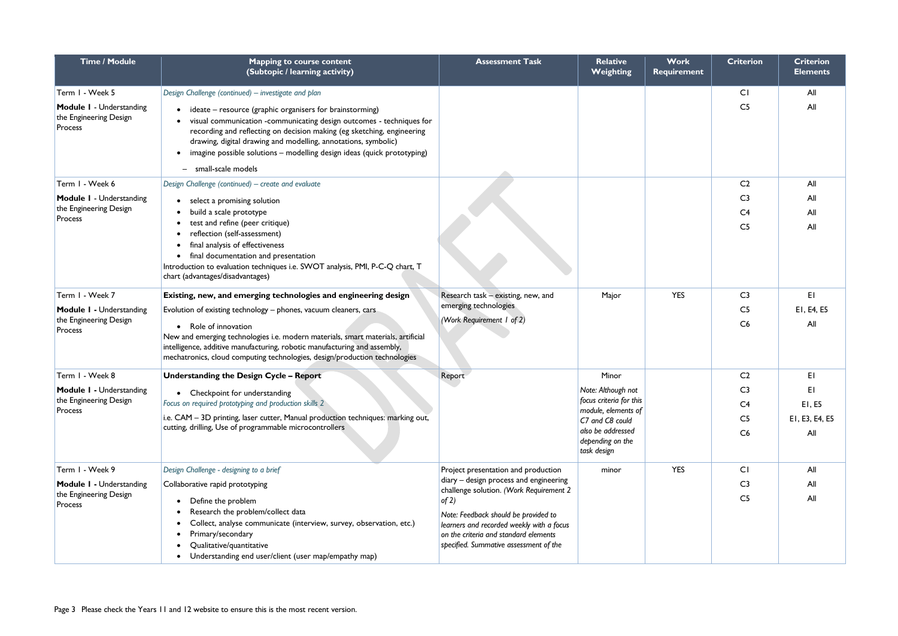| <b>Time / Module</b>                                                 | <b>Mapping to course content</b><br>(Subtopic / learning activity)                                                                                                                                                                                                                                                                                                              | <b>Assessment Task</b>                                                                                                                                                                                                                                             | <b>Relative</b><br><b>Weighting</b>                                                                                                             | <b>Work</b><br><b>Requirement</b> | <b>Criterion</b>                                         | <b>Criterion</b><br><b>Elements</b>   |
|----------------------------------------------------------------------|---------------------------------------------------------------------------------------------------------------------------------------------------------------------------------------------------------------------------------------------------------------------------------------------------------------------------------------------------------------------------------|--------------------------------------------------------------------------------------------------------------------------------------------------------------------------------------------------------------------------------------------------------------------|-------------------------------------------------------------------------------------------------------------------------------------------------|-----------------------------------|----------------------------------------------------------|---------------------------------------|
| Term I - Week 5                                                      | Design Challenge (continued) - investigate and plan                                                                                                                                                                                                                                                                                                                             |                                                                                                                                                                                                                                                                    |                                                                                                                                                 |                                   | CI                                                       | All                                   |
| <b>Module I - Understanding</b><br>the Engineering Design<br>Process | ideate – resource (graphic organisers for brainstorming)<br>visual communication -communicating design outcomes - techniques for<br>recording and reflecting on decision making (eg sketching, engineering<br>drawing, digital drawing and modelling, annotations, symbolic)<br>imagine possible solutions - modelling design ideas (quick prototyping)<br>- small-scale models |                                                                                                                                                                                                                                                                    |                                                                                                                                                 |                                   | C <sub>5</sub>                                           | All                                   |
| Term I - Week 6                                                      | Design Challenge (continued) – create and evaluate                                                                                                                                                                                                                                                                                                                              |                                                                                                                                                                                                                                                                    |                                                                                                                                                 |                                   | C <sub>2</sub>                                           | All                                   |
| Module I - Understanding<br>the Engineering Design<br>Process        | select a promising solution<br>build a scale prototype<br>test and refine (peer critique)<br>reflection (self-assessment)<br>final analysis of effectiveness<br>final documentation and presentation<br>Introduction to evaluation techniques i.e. SWOT analysis, PMI, P-C-Q chart, T<br>chart (advantages/disadvantages)                                                       |                                                                                                                                                                                                                                                                    |                                                                                                                                                 |                                   | C <sub>3</sub><br>C <sub>4</sub><br>C <sub>5</sub>       | All<br>All<br>All                     |
| Term I - Week 7                                                      | Existing, new, and emerging technologies and engineering design                                                                                                                                                                                                                                                                                                                 | Research task - existing, new, and                                                                                                                                                                                                                                 | Major                                                                                                                                           | <b>YES</b>                        | C <sub>3</sub>                                           | EI                                    |
| Module I - Understanding<br>the Engineering Design<br>Process        | Evolution of existing technology - phones, vacuum cleaners, cars<br>• Role of innovation<br>New and emerging technologies i.e. modern materials, smart materials, artificial<br>intelligence, additive manufacturing, robotic manufacturing and assembly,<br>mechatronics, cloud computing technologies, design/production technologies                                         | emerging technologies<br>(Work Requirement 1 of 2)                                                                                                                                                                                                                 |                                                                                                                                                 |                                   | C <sub>5</sub><br>C6                                     | EI, E4, E5<br>All                     |
| Term I - Week 8                                                      | <b>Understanding the Design Cycle - Report</b>                                                                                                                                                                                                                                                                                                                                  | Report                                                                                                                                                                                                                                                             | Minor                                                                                                                                           |                                   | C <sub>2</sub>                                           | E1                                    |
| <b>Module I - Understanding</b><br>the Engineering Design<br>Process | • Checkpoint for understanding<br>Focus on required prototyping and production skills 2<br>i.e. CAM - 3D printing, laser cutter, Manual production techniques: marking out,<br>cutting, drilling, Use of programmable microcontrollers                                                                                                                                          |                                                                                                                                                                                                                                                                    | Note: Although not<br>focus criteria for this<br>module, elements of<br>C7 and C8 could<br>also be addressed<br>depending on the<br>task design |                                   | C <sub>3</sub><br>C <sub>4</sub><br>C <sub>5</sub><br>C6 | EI<br>EI, E5<br>EI, E3, E4, E5<br>All |
| Term I - Week 9                                                      | Design Challenge - designing to a brief                                                                                                                                                                                                                                                                                                                                         | Project presentation and production                                                                                                                                                                                                                                | minor                                                                                                                                           | <b>YES</b>                        | CI                                                       | All                                   |
| Module I - Understanding<br>the Engineering Design<br>Process        | Collaborative rapid prototyping<br>Define the problem<br>Research the problem/collect data<br>Collect, analyse communicate (interview, survey, observation, etc.)<br>Primary/secondary<br>Qualitative/quantitative<br>Understanding end user/client (user map/empathy map)                                                                                                      | diary - design process and engineering<br>challenge solution. (Work Requirement 2<br>of 2)<br>Note: Feedback should be provided to<br>learners and recorded weekly with a focus<br>on the criteria and standard elements<br>specified. Summative assessment of the |                                                                                                                                                 |                                   | C <sub>3</sub><br>C <sub>5</sub>                         | All<br>All                            |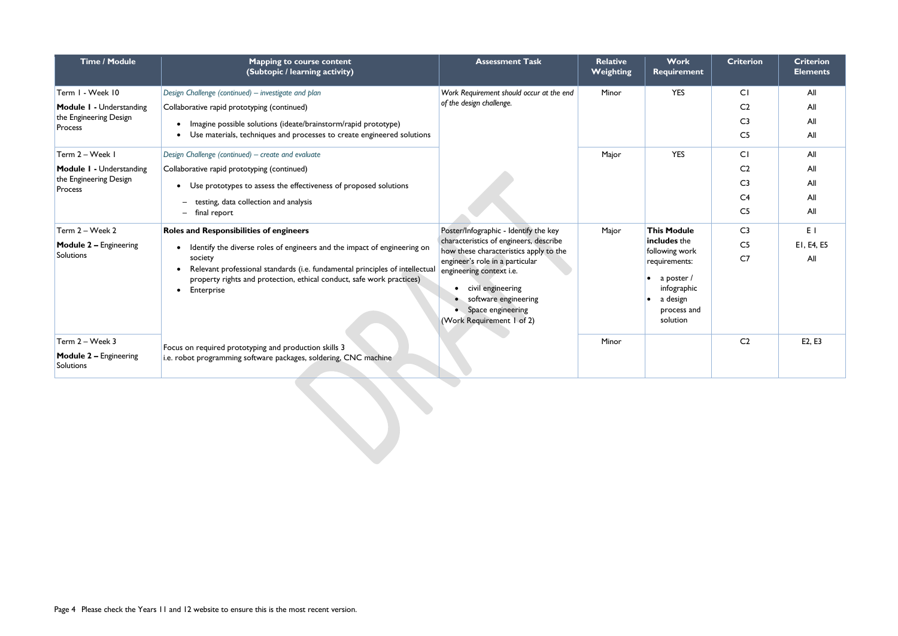| <b>Time / Module</b>                       | <b>Mapping to course content</b><br>(Subtopic / learning activity)                                                                                                                          | <b>Assessment Task</b>                                                                                                                                         | <b>Relative</b><br><b>Weighting</b> | <b>Work</b><br><b>Requirement</b>                                                 | <b>Criterion</b> | <b>Criterion</b><br><b>Elements</b> |
|--------------------------------------------|---------------------------------------------------------------------------------------------------------------------------------------------------------------------------------------------|----------------------------------------------------------------------------------------------------------------------------------------------------------------|-------------------------------------|-----------------------------------------------------------------------------------|------------------|-------------------------------------|
| Term I - Week 10                           | Design Challenge (continued) - investigate and plan                                                                                                                                         | Work Requirement should occur at the end                                                                                                                       | Minor                               | <b>YES</b>                                                                        | CI               | All                                 |
| <b>Module I - Understanding</b>            | Collaborative rapid prototyping (continued)                                                                                                                                                 | of the design challenge.                                                                                                                                       |                                     |                                                                                   | C <sub>2</sub>   | All                                 |
| the Engineering Design<br>Process          | Imagine possible solutions (ideate/brainstorm/rapid prototype)<br>$\bullet$                                                                                                                 |                                                                                                                                                                |                                     |                                                                                   | C <sub>3</sub>   | All                                 |
|                                            | Use materials, techniques and processes to create engineered solutions<br>$\bullet$                                                                                                         |                                                                                                                                                                |                                     |                                                                                   | C <sub>5</sub>   | All                                 |
| Term 2 - Week I                            | Design Challenge (continued) - create and evaluate                                                                                                                                          |                                                                                                                                                                | Major                               | <b>YES</b>                                                                        | CI               | All                                 |
| <b>Module I - Understanding</b>            | Collaborative rapid prototyping (continued)                                                                                                                                                 |                                                                                                                                                                |                                     |                                                                                   | C <sub>2</sub>   | All                                 |
| the Engineering Design<br>Process          | Use prototypes to assess the effectiveness of proposed solutions                                                                                                                            |                                                                                                                                                                |                                     |                                                                                   | C <sub>3</sub>   | All                                 |
|                                            | testing, data collection and analysis<br>$-$                                                                                                                                                |                                                                                                                                                                |                                     |                                                                                   | C <sub>4</sub>   | All                                 |
|                                            | - final report                                                                                                                                                                              |                                                                                                                                                                |                                     |                                                                                   | C <sub>5</sub>   | All                                 |
| Term 2 - Week 2                            | <b>Roles and Responsibilities of engineers</b>                                                                                                                                              | Poster/Infographic - Identify the key                                                                                                                          | Major                               | <b>This Module</b>                                                                | C <sub>3</sub>   | E I                                 |
| <b>Module 2 - Engineering</b>              | Identify the diverse roles of engineers and the impact of engineering on                                                                                                                    | characteristics of engineers, describe<br>how these characteristics apply to the                                                                               |                                     | includes the<br>following work                                                    | C <sub>5</sub>   | EI, E4, E5                          |
| Solutions                                  | society<br>Relevant professional standards (i.e. fundamental principles of intellectual<br>property rights and protection, ethical conduct, safe work practices)<br>Enterprise<br>$\bullet$ | engineer's role in a particular<br>engineering context i.e.<br>civil engineering<br>• software engineering<br>• Space engineering<br>(Work Requirement 1 of 2) |                                     | requirements:<br>a poster /<br>infographic<br>a design<br>process and<br>solution | C <sub>7</sub>   | All                                 |
| Term 2 - Week 3                            | Focus on required prototyping and production skills 3                                                                                                                                       |                                                                                                                                                                | Minor                               |                                                                                   | C <sub>2</sub>   | E2, E3                              |
| <b>Module 2 - Engineering</b><br>Solutions | i.e. robot programming software packages, soldering, CNC machine                                                                                                                            |                                                                                                                                                                |                                     |                                                                                   |                  |                                     |
|                                            |                                                                                                                                                                                             |                                                                                                                                                                |                                     |                                                                                   |                  |                                     |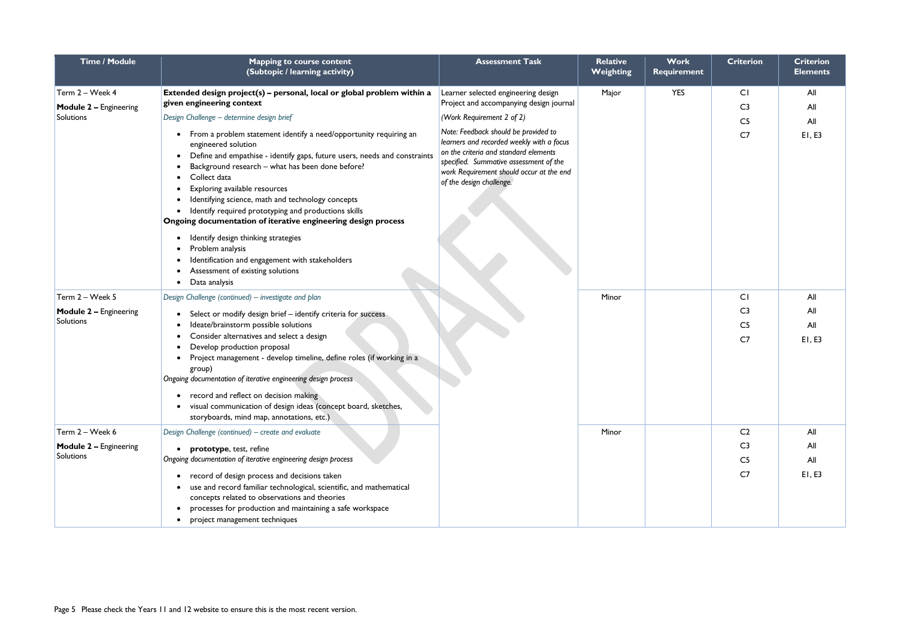| Time / Module                                                 | <b>Mapping to course content</b><br>(Subtopic / learning activity)                                                                                                                                                                                                                                                                                                                                                                                                                                                                                                                                                                                                                                                                                                                                                                                                                                                                                                                                                                                                                                                                                | <b>Assessment Task</b> | <b>Relative</b><br><b>Weighting</b> | Work<br><b>Requirement</b> | <b>Criterion</b>                                                     | <b>Criterion</b><br><b>Elements</b> |
|---------------------------------------------------------------|---------------------------------------------------------------------------------------------------------------------------------------------------------------------------------------------------------------------------------------------------------------------------------------------------------------------------------------------------------------------------------------------------------------------------------------------------------------------------------------------------------------------------------------------------------------------------------------------------------------------------------------------------------------------------------------------------------------------------------------------------------------------------------------------------------------------------------------------------------------------------------------------------------------------------------------------------------------------------------------------------------------------------------------------------------------------------------------------------------------------------------------------------|------------------------|-------------------------------------|----------------------------|----------------------------------------------------------------------|-------------------------------------|
| Term 2 - Week 4<br><b>Module 2 - Engineering</b><br>Solutions | Extended design project(s) - personal, local or global problem within a<br>Learner selected engineering design<br>given engineering context<br>Project and accompanying design journal<br>Design Challenge - determine design brief<br>(Work Requirement 2 of 2)<br>Note: Feedback should be provided to<br>• From a problem statement identify a need/opportunity requiring an<br>learners and recorded weekly with a focus<br>engineered solution<br>on the criteria and standard elements<br>Define and empathise - identify gaps, future users, needs and constraints<br>specified. Summative assessment of the<br>Background research - what has been done before?<br>work Requirement should occur at the end<br>Collect data<br>of the design challenge.<br>Exploring available resources<br>Identifying science, math and technology concepts<br>Identify required prototyping and productions skills<br>Ongoing documentation of iterative engineering design process<br>Identify design thinking strategies<br>Problem analysis<br>Identification and engagement with stakeholders<br>Assessment of existing solutions<br>Data analysis |                        | Major                               | <b>YES</b>                 | CI<br>C <sub>3</sub><br>C <sub>5</sub><br>C <sub>7</sub>             | All<br>All<br>All<br>EI, E3         |
| Term 2 - Week 5<br><b>Module 2 - Engineering</b><br>Solutions | Design Challenge (continued) - investigate and plan<br>Select or modify design brief - identify criteria for success<br>Ideate/brainstorm possible solutions<br>Consider alternatives and select a design<br>Develop production proposal<br>Project management - develop timeline, define roles (if working in a<br>group)<br>Ongoing documentation of iterative engineering design process<br>record and reflect on decision making<br>visual communication of design ideas (concept board, sketches,<br>storyboards, mind map, annotations, etc.)                                                                                                                                                                                                                                                                                                                                                                                                                                                                                                                                                                                               |                        | Minor                               |                            | CI<br>C <sub>3</sub><br>C <sub>5</sub><br>C <sub>7</sub>             | All<br>All<br>All<br>EI, E3         |
| Term 2 - Week 6<br><b>Module 2 - Engineering</b><br>Solutions | Design Challenge (continued) – create and evaluate<br>prototype, test, refine<br>Ongoing documentation of iterative engineering design process<br>record of design process and decisions taken<br>$\bullet$<br>use and record familiar technological, scientific, and mathematical<br>concepts related to observations and theories<br>processes for production and maintaining a safe workspace<br>project management techniques                                                                                                                                                                                                                                                                                                                                                                                                                                                                                                                                                                                                                                                                                                                 |                        | Minor                               |                            | C <sub>2</sub><br>C <sub>3</sub><br>C <sub>5</sub><br>C <sub>7</sub> | All<br>All<br>All<br>EI, E3         |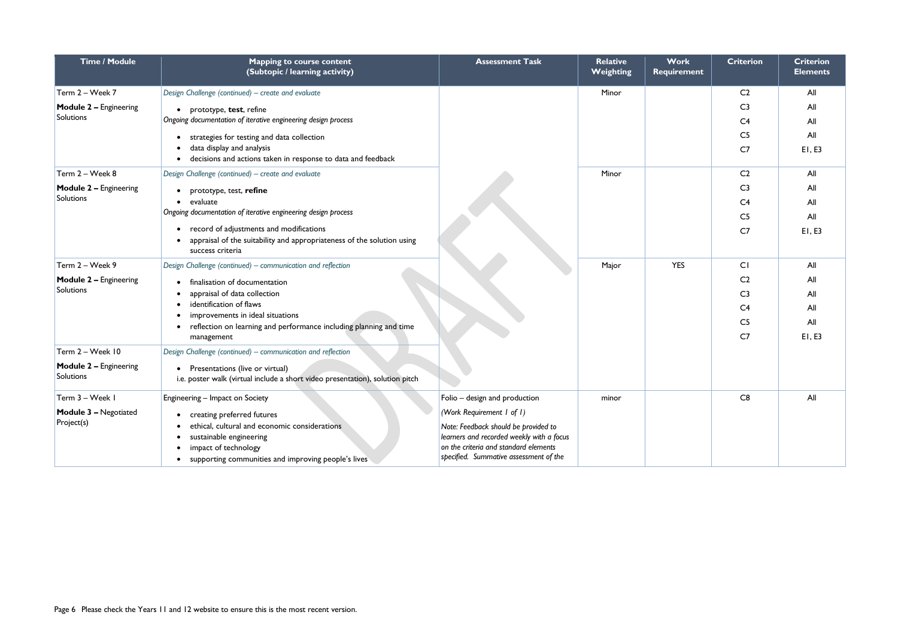| <b>Time / Module</b>                              | <b>Mapping to course content</b><br>(Subtopic / learning activity)                                                                                                                    | <b>Assessment Task</b>                                                                                                                                                                            | <b>Relative</b><br><b>Weighting</b> | Work<br>Requirement | <b>Criterion</b>                 | <b>Criterion</b><br><b>Elements</b> |
|---------------------------------------------------|---------------------------------------------------------------------------------------------------------------------------------------------------------------------------------------|---------------------------------------------------------------------------------------------------------------------------------------------------------------------------------------------------|-------------------------------------|---------------------|----------------------------------|-------------------------------------|
| Term 2 - Week 7                                   | Design Challenge (continued) - create and evaluate                                                                                                                                    |                                                                                                                                                                                                   | Minor                               |                     | C <sub>2</sub>                   | All                                 |
| <b>Module 2 - Engineering</b><br><b>Solutions</b> | prototype, test, refine<br>Ongoing documentation of iterative engineering design process                                                                                              |                                                                                                                                                                                                   |                                     |                     | C <sub>3</sub><br>C <sub>4</sub> | All<br>All                          |
|                                                   | strategies for testing and data collection<br>data display and analysis                                                                                                               |                                                                                                                                                                                                   |                                     |                     | C <sub>5</sub><br>C <sub>7</sub> | All<br>EI, E3                       |
|                                                   | decisions and actions taken in response to data and feedback                                                                                                                          |                                                                                                                                                                                                   |                                     |                     |                                  |                                     |
| Term 2 - Week 8                                   | Design Challenge (continued) – create and evaluate                                                                                                                                    |                                                                                                                                                                                                   | Minor                               |                     | C <sub>2</sub>                   | All                                 |
| <b>Module 2 - Engineering</b>                     | prototype, test, refine                                                                                                                                                               |                                                                                                                                                                                                   |                                     |                     | C <sub>3</sub>                   | All                                 |
| <b>Solutions</b>                                  | evaluate<br>$\bullet$                                                                                                                                                                 |                                                                                                                                                                                                   |                                     |                     | C <sub>4</sub>                   | All                                 |
|                                                   | Ongoing documentation of iterative engineering design process                                                                                                                         |                                                                                                                                                                                                   |                                     |                     | C <sub>5</sub>                   | All                                 |
|                                                   | record of adjustments and modifications<br>appraisal of the suitability and appropriateness of the solution using<br>success criteria                                                 |                                                                                                                                                                                                   |                                     |                     | C <sub>7</sub>                   | EI, E3                              |
| Term 2 - Week 9                                   | Design Challenge (continued) - communication and reflection                                                                                                                           |                                                                                                                                                                                                   | Major                               | <b>YES</b>          | CI                               | All                                 |
| <b>Module 2 - Engineering</b>                     | finalisation of documentation                                                                                                                                                         |                                                                                                                                                                                                   |                                     |                     | C <sub>2</sub>                   | All                                 |
| <b>Solutions</b>                                  | appraisal of data collection                                                                                                                                                          |                                                                                                                                                                                                   |                                     |                     | C <sub>3</sub>                   | All                                 |
|                                                   | identification of flaws<br>improvements in ideal situations                                                                                                                           |                                                                                                                                                                                                   |                                     |                     | C <sub>4</sub>                   | All                                 |
|                                                   | • reflection on learning and performance including planning and time                                                                                                                  |                                                                                                                                                                                                   |                                     |                     | C <sub>5</sub>                   | All                                 |
|                                                   | management                                                                                                                                                                            |                                                                                                                                                                                                   |                                     |                     | C <sub>7</sub>                   | E1, E3                              |
| Term 2 - Week 10                                  | Design Challenge (continued) – communication and reflection                                                                                                                           |                                                                                                                                                                                                   |                                     |                     |                                  |                                     |
| <b>Module 2 - Engineering</b><br><b>Solutions</b> | Presentations (live or virtual)<br>i.e. poster walk (virtual include a short video presentation), solution pitch                                                                      |                                                                                                                                                                                                   |                                     |                     |                                  |                                     |
| Term 3 - Week I                                   | Engineering - Impact on Society                                                                                                                                                       | Folio - design and production                                                                                                                                                                     | minor                               |                     | C8                               | All                                 |
| <b>Module 3 - Negotiated</b><br>Project(s)        | creating preferred futures<br>ethical, cultural and economic considerations<br>sustainable engineering<br>impact of technology<br>supporting communities and improving people's lives | (Work Requirement 1 of 1)<br>Note: Feedback should be provided to<br>learners and recorded weekly with a focus<br>on the criteria and standard elements<br>specified. Summative assessment of the |                                     |                     |                                  |                                     |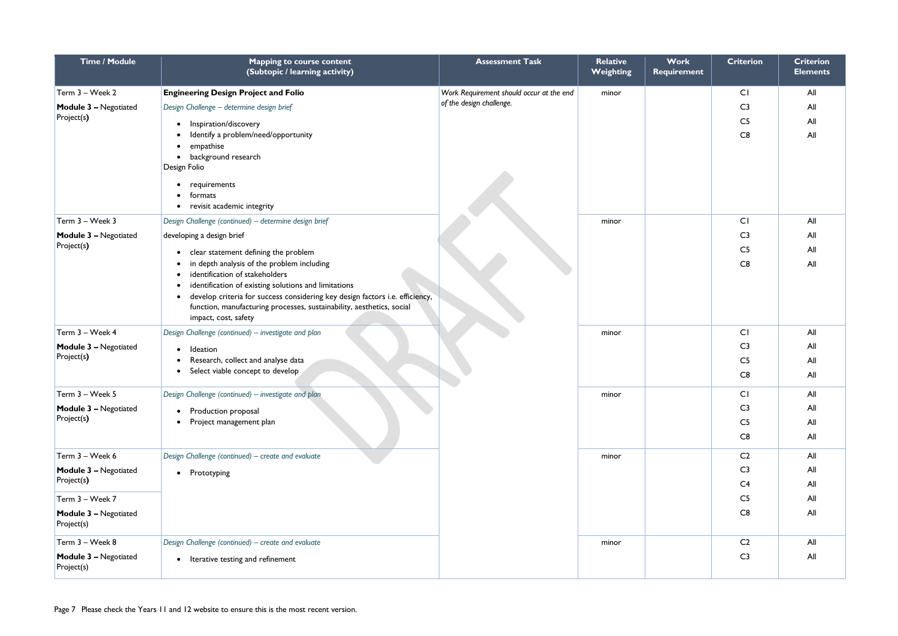| <b>Time / Module</b>                       | <b>Mapping to course content</b><br>(Subtopic / learning activity)                            | <b>Assessment Task</b>                   | <b>Relative</b><br>Weighting | <b>Work</b><br><b>Requirement</b> | <b>Criterion</b> | <b>Criterion</b><br><b>Elements</b> |
|--------------------------------------------|-----------------------------------------------------------------------------------------------|------------------------------------------|------------------------------|-----------------------------------|------------------|-------------------------------------|
| Term 3 - Week 2                            | <b>Engineering Design Project and Folio</b>                                                   | Work Requirement should occur at the end | minor                        |                                   | CI               | All                                 |
| <b>Module 3 - Negotiated</b>               | Design Challenge - determine design brief                                                     | of the design challenge.                 |                              |                                   | C <sub>3</sub>   | All                                 |
| Project(s)                                 | Inspiration/discovery                                                                         |                                          |                              |                                   | C <sub>5</sub>   | All                                 |
|                                            | Identify a problem/need/opportunity                                                           |                                          |                              |                                   | C8               | All                                 |
|                                            | empathise<br>$\bullet$<br>• background research                                               |                                          |                              |                                   |                  |                                     |
|                                            | Design Folio                                                                                  |                                          |                              |                                   |                  |                                     |
|                                            | • requirements                                                                                |                                          |                              |                                   |                  |                                     |
|                                            | formats<br>$\bullet$                                                                          |                                          |                              |                                   |                  |                                     |
|                                            | • revisit academic integrity                                                                  |                                          |                              |                                   |                  |                                     |
| Term 3 - Week 3                            | Design Challenge (continued) - determine design brief                                         |                                          | minor                        |                                   | CI               | All                                 |
| <b>Module 3 - Negotiated</b><br>Project(s) | developing a design brief                                                                     |                                          |                              |                                   | C <sub>3</sub>   | All                                 |
|                                            | clear statement defining the problem                                                          |                                          |                              |                                   | C <sub>5</sub>   | All                                 |
|                                            | in depth analysis of the problem including<br>identification of stakeholders                  |                                          |                              |                                   | C8               | All                                 |
|                                            | identification of existing solutions and limitations                                          |                                          |                              |                                   |                  |                                     |
|                                            | develop criteria for success considering key design factors i.e. efficiency,                  |                                          |                              |                                   |                  |                                     |
|                                            | function, manufacturing processes, sustainability, aesthetics, social<br>impact, cost, safety |                                          |                              |                                   |                  |                                     |
| Term 3 - Week 4                            | Design Challenge (continued) - investigate and plan                                           |                                          | minor                        |                                   | CI               | All                                 |
| <b>Module 3 - Negotiated</b>               | Ideation                                                                                      |                                          |                              |                                   | C <sub>3</sub>   | All                                 |
| Project(s)                                 | Research, collect and analyse data                                                            |                                          |                              |                                   | C <sub>5</sub>   | All                                 |
|                                            | Select viable concept to develop<br>$\bullet$                                                 |                                          |                              |                                   | C8               | All                                 |
| Term 3 - Week 5                            | Design Challenge (continued) - investigate and plan                                           |                                          | minor                        |                                   | CI               | All                                 |
| <b>Module 3 - Negotiated</b>               | • Production proposal                                                                         |                                          |                              |                                   | C <sub>3</sub>   | All                                 |
| Project(s)                                 | Project management plan<br>$\bullet$                                                          |                                          |                              |                                   | C <sub>5</sub>   | All                                 |
|                                            |                                                                                               |                                          |                              |                                   | C8               | All                                 |
| Term 3 - Week 6                            | Design Challenge (continued) - create and evaluate                                            |                                          | minor                        |                                   | C <sub>2</sub>   | All                                 |
| <b>Module 3 - Negotiated</b>               | • Prototyping                                                                                 |                                          |                              |                                   | C <sub>3</sub>   | All                                 |
| Project(s)                                 |                                                                                               |                                          |                              |                                   | C <sub>4</sub>   | All                                 |
| Term 3 - Week 7                            |                                                                                               |                                          |                              |                                   | C <sub>5</sub>   | All                                 |
| <b>Module 3 - Negotiated</b><br>Project(s) |                                                                                               |                                          |                              |                                   | C8               | All                                 |
| Term 3 - Week 8                            | Design Challenge (continued) - create and evaluate                                            |                                          | minor                        |                                   | C <sub>2</sub>   | All                                 |
| <b>Module 3 - Negotiated</b><br>Project(s) | • Iterative testing and refinement                                                            |                                          |                              |                                   | C <sub>3</sub>   | All                                 |
|                                            |                                                                                               |                                          |                              |                                   |                  |                                     |